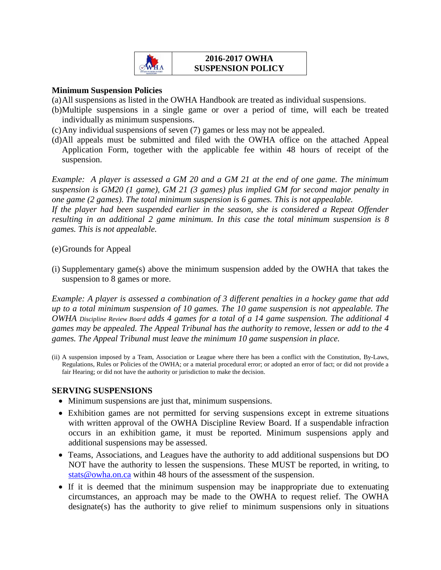

#### **2016-2017 OWHA SUSPENSION POLICY**

#### **Minimum Suspension Policies**

(a)All suspensions as listed in the OWHA Handbook are treated as individual suspensions.

- (b)Multiple suspensions in a single game or over a period of time, will each be treated individually as minimum suspensions.
- (c)Any individual suspensions of seven (7) games or less may not be appealed.
- (d)All appeals must be submitted and filed with the OWHA office on the attached Appeal Application Form, together with the applicable fee within 48 hours of receipt of the suspension.

*Example: A player is assessed a GM 20 and a GM 21 at the end of one game. The minimum suspension is GM20 (1 game), GM 21 (3 games) plus implied GM for second major penalty in one game (2 games). The total minimum suspension is 6 games. This is not appealable. If the player had been suspended earlier in the season, she is considered a Repeat Offender resulting in an additional 2 game minimum. In this case the total minimum suspension is 8 games. This is not appealable.*

#### (e)Grounds for Appeal

(i) Supplementary game(s) above the minimum suspension added by the OWHA that takes the suspension to 8 games or more.

*Example: A player is assessed a combination of 3 different penalties in a hockey game that add up to a total minimum suspension of 10 games. The 10 game suspension is not appealable. The OWHA Discipline Review Board adds 4 games for a total of a 14 game suspension. The additional 4 games may be appealed. The Appeal Tribunal has the authority to remove, lessen or add to the 4 games. The Appeal Tribunal must leave the minimum 10 game suspension in place.* 

(ii) A suspension imposed by a Team, Association or League where there has been a conflict with the Constitution, By-Laws, Regulations, Rules or Policies of the OWHA; or a material procedural error; or adopted an error of fact; or did not provide a fair Hearing; or did not have the authority or jurisdiction to make the decision.

#### **SERVING SUSPENSIONS**

- Minimum suspensions are just that, minimum suspensions.
- Exhibition games are not permitted for serving suspensions except in extreme situations with written approval of the OWHA Discipline Review Board. If a suspendable infraction occurs in an exhibition game, it must be reported. Minimum suspensions apply and additional suspensions may be assessed.
- Teams, Associations, and Leagues have the authority to add additional suspensions but DO NOT have the authority to lessen the suspensions. These MUST be reported, in writing, to [stats@owha.on.ca](mailto:stats@owha.on.ca) within 48 hours of the assessment of the suspension.
- If it is deemed that the minimum suspension may be inappropriate due to extenuating circumstances, an approach may be made to the OWHA to request relief. The OWHA designate(s) has the authority to give relief to minimum suspensions only in situations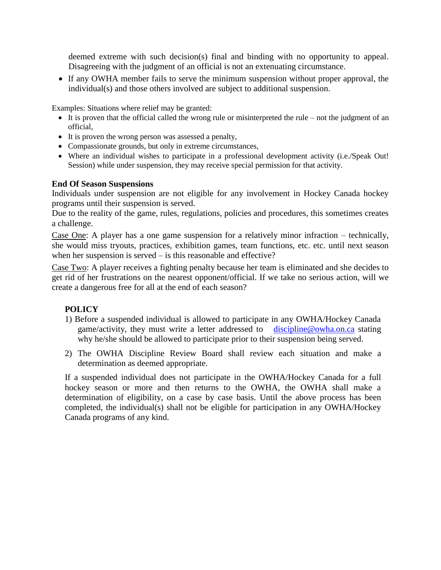deemed extreme with such decision(s) final and binding with no opportunity to appeal. Disagreeing with the judgment of an official is not an extenuating circumstance.

• If any OWHA member fails to serve the minimum suspension without proper approval, the individual(s) and those others involved are subject to additional suspension.

Examples: Situations where relief may be granted:

- $\bullet$  It is proven that the official called the wrong rule or misinterpreted the rule not the judgment of an official,
- It is proven the wrong person was assessed a penalty,
- Compassionate grounds, but only in extreme circumstances,
- Where an individual wishes to participate in a professional development activity (i.e./Speak Out! Session) while under suspension, they may receive special permission for that activity.

#### **End Of Season Suspensions**

Individuals under suspension are not eligible for any involvement in Hockey Canada hockey programs until their suspension is served.

Due to the reality of the game, rules, regulations, policies and procedures, this sometimes creates a challenge.

Case One: A player has a one game suspension for a relatively minor infraction – technically, she would miss tryouts, practices, exhibition games, team functions, etc. etc. until next season when her suspension is served – is this reasonable and effective?

Case Two: A player receives a fighting penalty because her team is eliminated and she decides to get rid of her frustrations on the nearest opponent/official. If we take no serious action, will we create a dangerous free for all at the end of each season?

# **POLICY**

- 1) Before a suspended individual is allowed to participate in any OWHA/Hockey Canada game/activity, they must write a letter addressed to [discipline@owha.on.ca](mailto:discipline@owha.on.ca) stating why he/she should be allowed to participate prior to their suspension being served.
- 2) The OWHA Discipline Review Board shall review each situation and make a determination as deemed appropriate.

If a suspended individual does not participate in the OWHA/Hockey Canada for a full hockey season or more and then returns to the OWHA, the OWHA shall make a determination of eligibility, on a case by case basis. Until the above process has been completed, the individual(s) shall not be eligible for participation in any OWHA/Hockey Canada programs of any kind.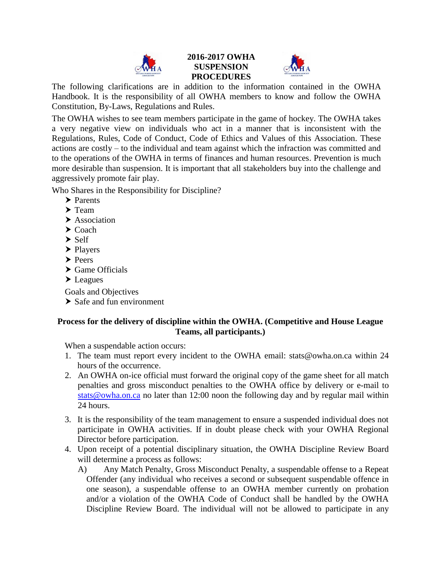

### **2016-2017 OWHA SUSPENSION PROCEDURES**



The following clarifications are in addition to the information contained in the OWHA Handbook. It is the responsibility of all OWHA members to know and follow the OWHA Constitution, By-Laws, Regulations and Rules.

The OWHA wishes to see team members participate in the game of hockey. The OWHA takes a very negative view on individuals who act in a manner that is inconsistent with the Regulations, Rules, Code of Conduct, Code of Ethics and Values of this Association. These actions are costly – to the individual and team against which the infraction was committed and to the operations of the OWHA in terms of finances and human resources. Prevention is much more desirable than suspension. It is important that all stakeholders buy into the challenge and aggressively promote fair play.

Who Shares in the Responsibility for Discipline?

- > Parents
- $\blacktriangleright$  Team
- $\blacktriangleright$  Association
- $\blacktriangleright$  Coach
- $\blacktriangleright$  Self
- $\blacktriangleright$  Players
- > Peers
- ▶ Game Officials
- > Leagues

Goals and Objectives

 $\triangleright$  Safe and fun environment

## **Process for the delivery of discipline within the OWHA. (Competitive and House League Teams, all participants.)**

When a suspendable action occurs:

- 1. The team must report every incident to the OWHA email: stats@owha.on.ca within 24 hours of the occurrence.
- 2. An OWHA on-ice official must forward the original copy of the game sheet for all match penalties and gross misconduct penalties to the OWHA office by delivery or e-mail to [stats@owha.on.ca](mailto:stats@owha.on.ca) no later than 12:00 noon the following day and by regular mail within 24 hours.
- 3. It is the responsibility of the team management to ensure a suspended individual does not participate in OWHA activities. If in doubt please check with your OWHA Regional Director before participation.
- 4. Upon receipt of a potential disciplinary situation, the OWHA Discipline Review Board will determine a process as follows:
	- A) Any Match Penalty, Gross Misconduct Penalty, a suspendable offense to a Repeat Offender (any individual who receives a second or subsequent suspendable offence in one season), a suspendable offense to an OWHA member currently on probation and/or a violation of the OWHA Code of Conduct shall be handled by the OWHA Discipline Review Board. The individual will not be allowed to participate in any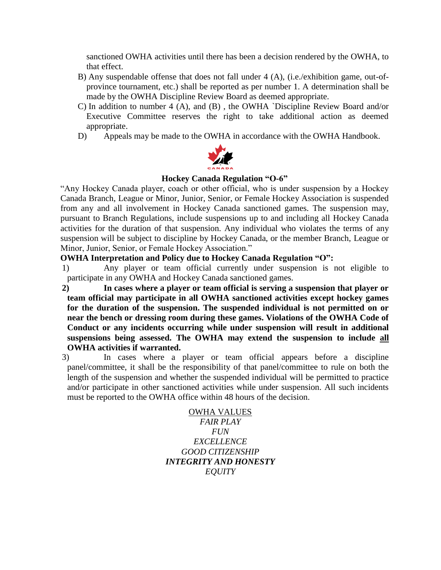sanctioned OWHA activities until there has been a decision rendered by the OWHA, to that effect.

- B) Any suspendable offense that does not fall under 4 (A), (i.e./exhibition game, out-ofprovince tournament, etc.) shall be reported as per number 1. A determination shall be made by the OWHA Discipline Review Board as deemed appropriate.
- C) In addition to number 4 (A), and (B) , the OWHA `Discipline Review Board and/or Executive Committee reserves the right to take additional action as deemed appropriate.
- D) Appeals may be made to the OWHA in accordance with the OWHA Handbook.



#### **Hockey Canada Regulation "O-6"**

"Any Hockey Canada player, coach or other official, who is under suspension by a Hockey Canada Branch, League or Minor, Junior, Senior, or Female Hockey Association is suspended from any and all involvement in Hockey Canada sanctioned games. The suspension may, pursuant to Branch Regulations, include suspensions up to and including all Hockey Canada activities for the duration of that suspension. Any individual who violates the terms of any suspension will be subject to discipline by Hockey Canada, or the member Branch, League or Minor, Junior, Senior, or Female Hockey Association."

### **OWHA Interpretation and Policy due to Hockey Canada Regulation "O":**

- 1) Any player or team official currently under suspension is not eligible to participate in any OWHA and Hockey Canada sanctioned games.
- **2) In cases where a player or team official is serving a suspension that player or team official may participate in all OWHA sanctioned activities except hockey games for the duration of the suspension. The suspended individual is not permitted on or near the bench or dressing room during these games. Violations of the OWHA Code of Conduct or any incidents occurring while under suspension will result in additional suspensions being assessed. The OWHA may extend the suspension to include all OWHA activities if warranted.**
- 3) In cases where a player or team official appears before a discipline panel/committee, it shall be the responsibility of that panel/committee to rule on both the length of the suspension and whether the suspended individual will be permitted to practice and/or participate in other sanctioned activities while under suspension. All such incidents must be reported to the OWHA office within 48 hours of the decision.

OWHA VALUES *FAIR PLAY FUN EXCELLENCE GOOD CITIZENSHIP INTEGRITY AND HONESTY EQUITY*